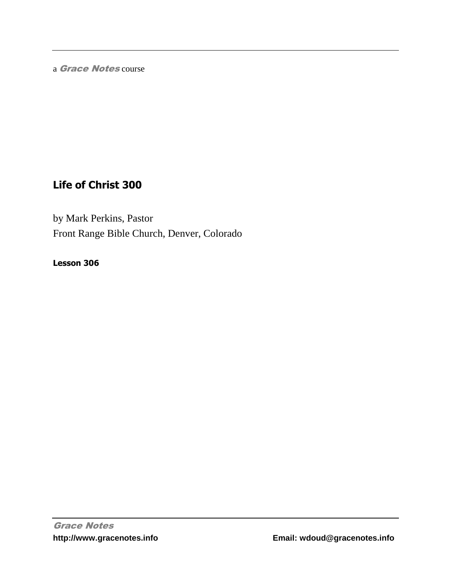a Grace Notes course

# **Life of Christ 300**

by Mark Perkins, Pastor Front Range Bible Church, Denver, Colorado

**Lesson 306**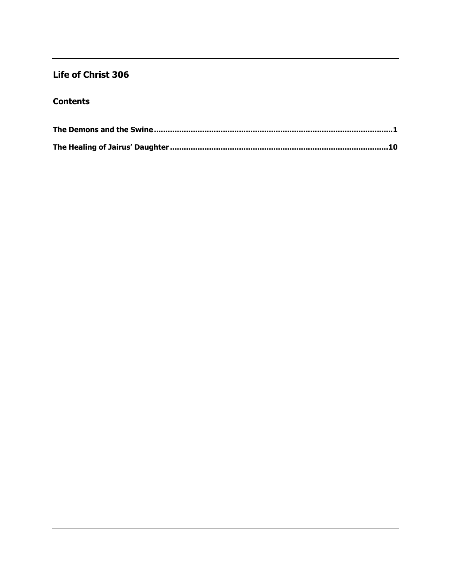## Life of Christ 306

## **Contents**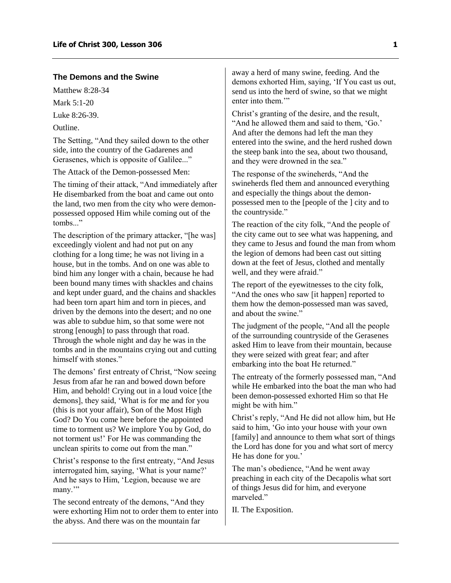#### <span id="page-2-0"></span>**The Demons and the Swine**

Matthew 8.28-34

Mark 5:1-20

Luke 8:26-39.

Outline.

The Setting, "And they sailed down to the other side, into the country of the Gadarenes and Gerasenes, which is opposite of Galilee..."

The Attack of the Demon-possessed Men:

The timing of their attack, "And immediately after He disembarked from the boat and came out onto the land, two men from the city who were demonpossessed opposed Him while coming out of the tombs..."

The description of the primary attacker, "[he was] exceedingly violent and had not put on any clothing for a long time; he was not living in a house, but in the tombs. And on one was able to bind him any longer with a chain, because he had been bound many times with shackles and chains and kept under guard, and the chains and shackles had been torn apart him and torn in pieces, and driven by the demons into the desert; and no one was able to subdue him, so that some were not strong [enough] to pass through that road. Through the whole night and day he was in the tombs and in the mountains crying out and cutting himself with stones."

The demons' first entreaty of Christ, "Now seeing Jesus from afar he ran and bowed down before Him, and behold! Crying out in a loud voice [the demons], they said, 'What is for me and for you (this is not your affair), Son of the Most High God? Do You come here before the appointed time to torment us? We implore You by God, do not torment us!' For He was commanding the unclean spirits to come out from the man."

Christ's response to the first entreaty, "And Jesus interrogated him, saying, 'What is your name?' And he says to Him, 'Legion, because we are many."

The second entreaty of the demons, "And they were exhorting Him not to order them to enter into the abyss. And there was on the mountain far

away a herd of many swine, feeding. And the demons exhorted Him, saying, 'If You cast us out, send us into the herd of swine, so that we might enter into them.""

Christ's granting of the desire, and the result, "And he allowed them and said to them, 'Go.' And after the demons had left the man they entered into the swine, and the herd rushed down the steep bank into the sea, about two thousand, and they were drowned in the sea."

The response of the swineherds, "And the swineherds fled them and announced everything and especially the things about the demonpossessed men to the [people of the ] city and to the countryside."

The reaction of the city folk, "And the people of the city came out to see what was happening, and they came to Jesus and found the man from whom the legion of demons had been cast out sitting down at the feet of Jesus, clothed and mentally well, and they were afraid."

The report of the eyewitnesses to the city folk, "And the ones who saw [it happen] reported to them how the demon-possessed man was saved, and about the swine."

The judgment of the people, "And all the people of the surrounding countryside of the Gerasenes asked Him to leave from their mountain, because they were seized with great fear; and after embarking into the boat He returned."

The entreaty of the formerly possessed man, "And while He embarked into the boat the man who had been demon-possessed exhorted Him so that He might be with him."

Christ's reply, "And He did not allow him, but He said to him, 'Go into your house with your own [family] and announce to them what sort of things the Lord has done for you and what sort of mercy He has done for you.'

The man's obedience, "And he went away preaching in each city of the Decapolis what sort of things Jesus did for him, and everyone marveled."

II. The Exposition.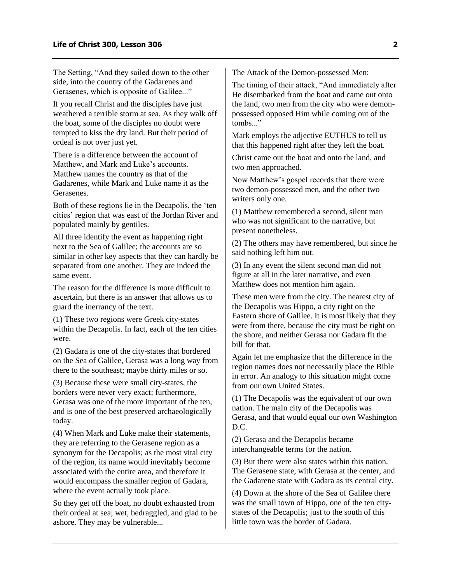The Setting, "And they sailed down to the other side, into the country of the Gadarenes and Gerasenes, which is opposite of Galilee..."

If you recall Christ and the disciples have just weathered a terrible storm at sea. As they walk off the boat, some of the disciples no doubt were tempted to kiss the dry land. But their period of ordeal is not over just yet.

There is a difference between the account of Matthew, and Mark and Luke's accounts. Matthew names the country as that of the Gadarenes, while Mark and Luke name it as the Gerasenes.

Both of these regions lie in the Decapolis, the 'ten cities' region that was east of the Jordan River and populated mainly by gentiles.

All three identify the event as happening right next to the Sea of Galilee; the accounts are so similar in other key aspects that they can hardly be separated from one another. They are indeed the same event.

The reason for the difference is more difficult to ascertain, but there is an answer that allows us to guard the inerrancy of the text.

(1) These two regions were Greek city-states within the Decapolis. In fact, each of the ten cities were.

(2) Gadara is one of the city-states that bordered on the Sea of Galilee, Gerasa was a long way from there to the southeast; maybe thirty miles or so.

(3) Because these were small city-states, the borders were never very exact; furthermore, Gerasa was one of the more important of the ten, and is one of the best preserved archaeologically today.

(4) When Mark and Luke make their statements, they are referring to the Gerasene region as a synonym for the Decapolis; as the most vital city of the region, its name would inevitably become associated with the entire area, and therefore it would encompass the smaller region of Gadara, where the event actually took place.

So they get off the boat, no doubt exhausted from their ordeal at sea; wet, bedraggled, and glad to be ashore. They may be vulnerable...

The Attack of the Demon-possessed Men:

The timing of their attack, "And immediately after He disembarked from the boat and came out onto the land, two men from the city who were demonpossessed opposed Him while coming out of the tombs."

Mark employs the adjective EUTHUS to tell us that this happened right after they left the boat.

Christ came out the boat and onto the land, and two men approached.

Now Matthew's gospel records that there were two demon-possessed men, and the other two writers only one.

(1) Matthew remembered a second, silent man who was not significant to the narrative, but present nonetheless.

(2) The others may have remembered, but since he said nothing left him out.

(3) In any event the silent second man did not figure at all in the later narrative, and even Matthew does not mention him again.

These men were from the city. The nearest city of the Decapolis was Hippo, a city right on the Eastern shore of Galilee. It is most likely that they were from there, because the city must be right on the shore, and neither Gerasa nor Gadara fit the bill for that.

Again let me emphasize that the difference in the region names does not necessarily place the Bible in error. An analogy to this situation might come from our own United States.

(1) The Decapolis was the equivalent of our own nation. The main city of the Decapolis was Gerasa, and that would equal our own Washington D.C.

(2) Gerasa and the Decapolis became interchangeable terms for the nation.

(3) But there were also states within this nation. The Gerasene state, with Gerasa at the center, and the Gadarene state with Gadara as its central city.

(4) Down at the shore of the Sea of Galilee there was the small town of Hippo, one of the ten citystates of the Decapolis; just to the south of this little town was the border of Gadara.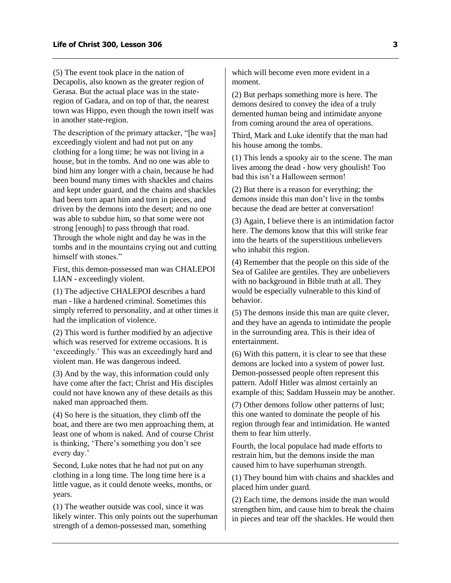(5) The event took place in the nation of Decapolis, also known as the greater region of Gerasa. But the actual place was in the stateregion of Gadara, and on top of that, the nearest town was Hippo, even though the town itself was in another state-region.

The description of the primary attacker, "[he was] exceedingly violent and had not put on any clothing for a long time; he was not living in a house, but in the tombs. And no one was able to bind him any longer with a chain, because he had been bound many times with shackles and chains and kept under guard, and the chains and shackles had been torn apart him and torn in pieces, and driven by the demons into the desert; and no one was able to subdue him, so that some were not strong [enough] to pass through that road. Through the whole night and day he was in the tombs and in the mountains crying out and cutting himself with stones."

First, this demon-possessed man was CHALEPOI LIAN - exceedingly violent.

(1) The adjective CHALEPOI describes a hard man - like a hardened criminal. Sometimes this simply referred to personality, and at other times it had the implication of violence.

(2) This word is further modified by an adjective which was reserved for extreme occasions. It is 'exceedingly.' This was an exceedingly hard and violent man. He was dangerous indeed.

(3) And by the way, this information could only have come after the fact; Christ and His disciples could not have known any of these details as this naked man approached them.

(4) So here is the situation, they climb off the boat, and there are two men approaching them, at least one of whom is naked. And of course Christ is thinking, 'There's something you don't see every day.'

Second, Luke notes that he had not put on any clothing in a long time. The long time here is a little vague, as it could denote weeks, months, or years.

(1) The weather outside was cool, since it was likely winter. This only points out the superhuman strength of a demon-possessed man, something

which will become even more evident in a moment.

(2) But perhaps something more is here. The demons desired to convey the idea of a truly demented human being and intimidate anyone from coming around the area of operations.

Third, Mark and Luke identify that the man had his house among the tombs.

(1) This lends a spooky air to the scene. The man lives among the dead - how very ghoulish! Too bad this isn't a Halloween sermon!

(2) But there is a reason for everything; the demons inside this man don't live in the tombs because the dead are better at conversation!

(3) Again, I believe there is an intimidation factor here. The demons know that this will strike fear into the hearts of the superstitious unbelievers who inhabit this region.

(4) Remember that the people on this side of the Sea of Galilee are gentiles. They are unbelievers with no background in Bible truth at all. They would be especially vulnerable to this kind of behavior.

(5) The demons inside this man are quite clever, and they have an agenda to intimidate the people in the surrounding area. This is their idea of entertainment.

(6) With this pattern, it is clear to see that these demons are locked into a system of power lust. Demon-possessed people often represent this pattern. Adolf Hitler was almost certainly an example of this; Saddam Hussein may be another.

(7) Other demons follow other patterns of lust; this one wanted to dominate the people of his region through fear and intimidation. He wanted them to fear him utterly.

Fourth, the local populace had made efforts to restrain him, but the demons inside the man caused him to have superhuman strength.

(1) They bound him with chains and shackles and placed him under guard.

(2) Each time, the demons inside the man would strengthen him, and cause him to break the chains in pieces and tear off the shackles. He would then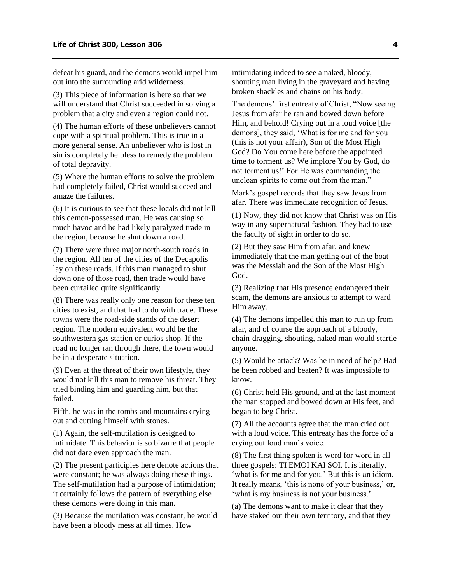defeat his guard, and the demons would impel him out into the surrounding arid wilderness.

(3) This piece of information is here so that we will understand that Christ succeeded in solving a problem that a city and even a region could not.

(4) The human efforts of these unbelievers cannot cope with a spiritual problem. This is true in a more general sense. An unbeliever who is lost in sin is completely helpless to remedy the problem of total depravity.

(5) Where the human efforts to solve the problem had completely failed, Christ would succeed and amaze the failures.

(6) It is curious to see that these locals did not kill this demon-possessed man. He was causing so much havoc and he had likely paralyzed trade in the region, because he shut down a road.

(7) There were three major north-south roads in the region. All ten of the cities of the Decapolis lay on these roads. If this man managed to shut down one of those road, then trade would have been curtailed quite significantly.

(8) There was really only one reason for these ten cities to exist, and that had to do with trade. These towns were the road-side stands of the desert region. The modern equivalent would be the southwestern gas station or curios shop. If the road no longer ran through there, the town would be in a desperate situation.

(9) Even at the threat of their own lifestyle, they would not kill this man to remove his threat. They tried binding him and guarding him, but that failed.

Fifth, he was in the tombs and mountains crying out and cutting himself with stones.

(1) Again, the self-mutilation is designed to intimidate. This behavior is so bizarre that people did not dare even approach the man.

(2) The present participles here denote actions that were constant; he was always doing these things. The self-mutilation had a purpose of intimidation; it certainly follows the pattern of everything else these demons were doing in this man.

(3) Because the mutilation was constant, he would have been a bloody mess at all times. How

intimidating indeed to see a naked, bloody, shouting man living in the graveyard and having broken shackles and chains on his body!

The demons' first entreaty of Christ, "Now seeing Jesus from afar he ran and bowed down before Him, and behold! Crying out in a loud voice [the demons], they said, 'What is for me and for you (this is not your affair), Son of the Most High God? Do You come here before the appointed time to torment us? We implore You by God, do not torment us!' For He was commanding the unclean spirits to come out from the man."

Mark's gospel records that they saw Jesus from afar. There was immediate recognition of Jesus.

(1) Now, they did not know that Christ was on His way in any supernatural fashion. They had to use the faculty of sight in order to do so.

(2) But they saw Him from afar, and knew immediately that the man getting out of the boat was the Messiah and the Son of the Most High God.

(3) Realizing that His presence endangered their scam, the demons are anxious to attempt to ward Him away.

(4) The demons impelled this man to run up from afar, and of course the approach of a bloody, chain-dragging, shouting, naked man would startle anyone.

(5) Would he attack? Was he in need of help? Had he been robbed and beaten? It was impossible to know.

(6) Christ held His ground, and at the last moment the man stopped and bowed down at His feet, and began to beg Christ.

(7) All the accounts agree that the man cried out with a loud voice. This entreaty has the force of a crying out loud man's voice.

(8) The first thing spoken is word for word in all three gospels: TI EMOI KAI SOI. It is literally, 'what is for me and for you.' But this is an idiom. It really means, 'this is none of your business,' or, 'what is my business is not your business.'

(a) The demons want to make it clear that they have staked out their own territory, and that they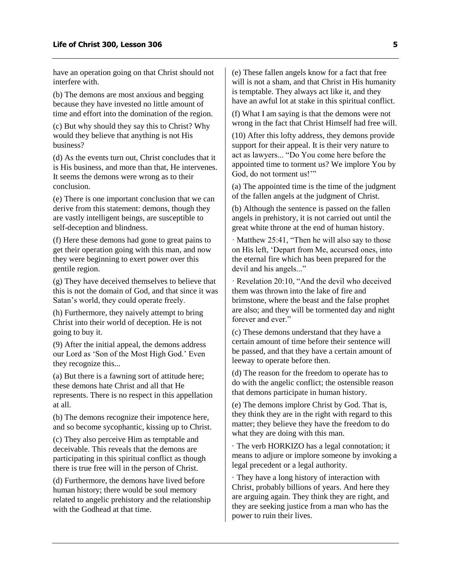have an operation going on that Christ should not interfere with.

(b) The demons are most anxious and begging because they have invested no little amount of time and effort into the domination of the region.

(c) But why should they say this to Christ? Why would they believe that anything is not His business?

(d) As the events turn out, Christ concludes that it is His business, and more than that, He intervenes. It seems the demons were wrong as to their conclusion.

(e) There is one important conclusion that we can derive from this statement: demons, though they are vastly intelligent beings, are susceptible to self-deception and blindness.

(f) Here these demons had gone to great pains to get their operation going with this man, and now they were beginning to exert power over this gentile region.

(g) They have deceived themselves to believe that this is not the domain of God, and that since it was Satan's world, they could operate freely.

(h) Furthermore, they naively attempt to bring Christ into their world of deception. He is not going to buy it.

(9) After the initial appeal, the demons address our Lord as 'Son of the Most High God.' Even they recognize this...

(a) But there is a fawning sort of attitude here; these demons hate Christ and all that He represents. There is no respect in this appellation at all.

(b) The demons recognize their impotence here, and so become sycophantic, kissing up to Christ.

(c) They also perceive Him as temptable and deceivable. This reveals that the demons are participating in this spiritual conflict as though there is true free will in the person of Christ.

(d) Furthermore, the demons have lived before human history; there would be soul memory related to angelic prehistory and the relationship with the Godhead at that time.

(e) These fallen angels know for a fact that free will is not a sham, and that Christ in His humanity is temptable. They always act like it, and they have an awful lot at stake in this spiritual conflict.

(f) What I am saying is that the demons were not wrong in the fact that Christ Himself had free will.

(10) After this lofty address, they demons provide support for their appeal. It is their very nature to act as lawyers... "Do You come here before the appointed time to torment us? We implore You by God, do not torment us!""

(a) The appointed time is the time of the judgment of the fallen angels at the judgment of Christ.

(b) Although the sentence is passed on the fallen angels in prehistory, it is not carried out until the great white throne at the end of human history.

· Matthew 25:41, "Then he will also say to those on His left, 'Depart from Me, accursed ones, into the eternal fire which has been prepared for the devil and his angels..."

· Revelation 20:10, "And the devil who deceived them was thrown into the lake of fire and brimstone, where the beast and the false prophet are also; and they will be tormented day and night forever and ever."

(c) These demons understand that they have a certain amount of time before their sentence will be passed, and that they have a certain amount of leeway to operate before then.

(d) The reason for the freedom to operate has to do with the angelic conflict; the ostensible reason that demons participate in human history.

(e) The demons implore Christ by God. That is, they think they are in the right with regard to this matter; they believe they have the freedom to do what they are doing with this man.

· The verb HORKIZO has a legal connotation; it means to adjure or implore someone by invoking a legal precedent or a legal authority.

· They have a long history of interaction with Christ, probably billions of years. And here they are arguing again. They think they are right, and they are seeking justice from a man who has the power to ruin their lives.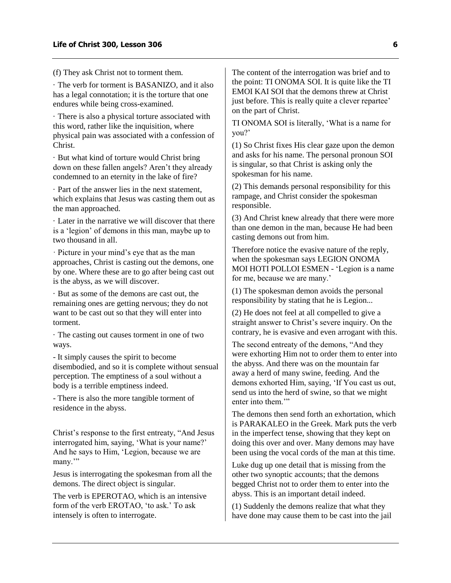(f) They ask Christ not to torment them.

· The verb for torment is BASANIZO, and it also has a legal connotation; it is the torture that one endures while being cross-examined.

· There is also a physical torture associated with this word, rather like the inquisition, where physical pain was associated with a confession of Christ.

· But what kind of torture would Christ bring down on these fallen angels? Aren't they already condemned to an eternity in the lake of fire?

· Part of the answer lies in the next statement, which explains that Jesus was casting them out as the man approached.

· Later in the narrative we will discover that there is a 'legion' of demons in this man, maybe up to two thousand in all.

· Picture in your mind's eye that as the man approaches, Christ is casting out the demons, one by one. Where these are to go after being cast out is the abyss, as we will discover.

· But as some of the demons are cast out, the remaining ones are getting nervous; they do not want to be cast out so that they will enter into torment.

· The casting out causes torment in one of two ways.

- It simply causes the spirit to become disembodied, and so it is complete without sensual perception. The emptiness of a soul without a body is a terrible emptiness indeed.

- There is also the more tangible torment of residence in the abyss.

Christ's response to the first entreaty, "And Jesus interrogated him, saying, 'What is your name?' And he says to Him, 'Legion, because we are many."

Jesus is interrogating the spokesman from all the demons. The direct object is singular.

The verb is EPEROTAO, which is an intensive form of the verb EROTAO, 'to ask.' To ask intensely is often to interrogate.

The content of the interrogation was brief and to the point: TI ONOMA SOI. It is quite like the TI EMOI KAI SOI that the demons threw at Christ just before. This is really quite a clever repartee' on the part of Christ.

TI ONOMA SOI is literally, 'What is a name for you?'

(1) So Christ fixes His clear gaze upon the demon and asks for his name. The personal pronoun SOI is singular, so that Christ is asking only the spokesman for his name.

(2) This demands personal responsibility for this rampage, and Christ consider the spokesman responsible.

(3) And Christ knew already that there were more than one demon in the man, because He had been casting demons out from him.

Therefore notice the evasive nature of the reply, when the spokesman says LEGION ONOMA MOI HOTI POLLOI ESMEN - 'Legion is a name for me, because we are many.'

(1) The spokesman demon avoids the personal responsibility by stating that he is Legion...

(2) He does not feel at all compelled to give a straight answer to Christ's severe inquiry. On the contrary, he is evasive and even arrogant with this.

The second entreaty of the demons, "And they were exhorting Him not to order them to enter into the abyss. And there was on the mountain far away a herd of many swine, feeding. And the demons exhorted Him, saying, 'If You cast us out, send us into the herd of swine, so that we might enter into them.'"

The demons then send forth an exhortation, which is PARAKALEO in the Greek. Mark puts the verb in the imperfect tense, showing that they kept on doing this over and over. Many demons may have been using the vocal cords of the man at this time.

Luke dug up one detail that is missing from the other two synoptic accounts; that the demons begged Christ not to order them to enter into the abyss. This is an important detail indeed.

(1) Suddenly the demons realize that what they have done may cause them to be cast into the jail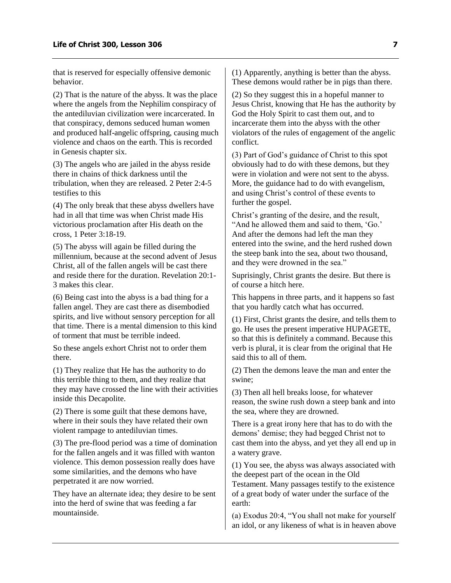that is reserved for especially offensive demonic behavior.

(2) That is the nature of the abyss. It was the place where the angels from the Nephilim conspiracy of the antediluvian civilization were incarcerated. In that conspiracy, demons seduced human women and produced half-angelic offspring, causing much violence and chaos on the earth. This is recorded in Genesis chapter six.

(3) The angels who are jailed in the abyss reside there in chains of thick darkness until the tribulation, when they are released. 2 Peter 2:4-5 testifies to this

(4) The only break that these abyss dwellers have had in all that time was when Christ made His victorious proclamation after His death on the cross, 1 Peter 3:18-19.

(5) The abyss will again be filled during the millennium, because at the second advent of Jesus Christ, all of the fallen angels will be cast there and reside there for the duration. Revelation 20:1- 3 makes this clear.

(6) Being cast into the abyss is a bad thing for a fallen angel. They are cast there as disembodied spirits, and live without sensory perception for all that time. There is a mental dimension to this kind of torment that must be terrible indeed.

So these angels exhort Christ not to order them there.

(1) They realize that He has the authority to do this terrible thing to them, and they realize that they may have crossed the line with their activities inside this Decapolite.

(2) There is some guilt that these demons have, where in their souls they have related their own violent rampage to antediluvian times.

(3) The pre-flood period was a time of domination for the fallen angels and it was filled with wanton violence. This demon possession really does have some similarities, and the demons who have perpetrated it are now worried.

They have an alternate idea; they desire to be sent into the herd of swine that was feeding a far mountainside.

(1) Apparently, anything is better than the abyss. These demons would rather be in pigs than there.

(2) So they suggest this in a hopeful manner to Jesus Christ, knowing that He has the authority by God the Holy Spirit to cast them out, and to incarcerate them into the abyss with the other violators of the rules of engagement of the angelic conflict.

(3) Part of God's guidance of Christ to this spot obviously had to do with these demons, but they were in violation and were not sent to the abyss. More, the guidance had to do with evangelism, and using Christ's control of these events to further the gospel.

Christ's granting of the desire, and the result, "And he allowed them and said to them, 'Go.' And after the demons had left the man they entered into the swine, and the herd rushed down the steep bank into the sea, about two thousand, and they were drowned in the sea."

Suprisingly, Christ grants the desire. But there is of course a hitch here.

This happens in three parts, and it happens so fast that you hardly catch what has occurred.

(1) First, Christ grants the desire, and tells them to go. He uses the present imperative HUPAGETE, so that this is definitely a command. Because this verb is plural, it is clear from the original that He said this to all of them.

(2) Then the demons leave the man and enter the swine;

(3) Then all hell breaks loose, for whatever reason, the swine rush down a steep bank and into the sea, where they are drowned.

There is a great irony here that has to do with the demons' demise; they had begged Christ not to cast them into the abyss, and yet they all end up in a watery grave.

(1) You see, the abyss was always associated with the deepest part of the ocean in the Old Testament. Many passages testify to the existence of a great body of water under the surface of the earth:

(a) Exodus 20:4, "You shall not make for yourself an idol, or any likeness of what is in heaven above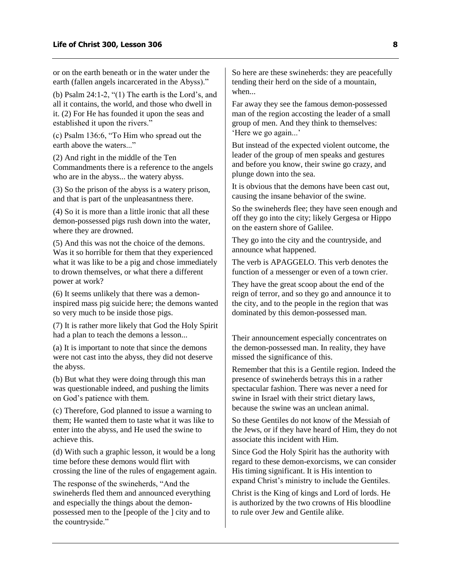or on the earth beneath or in the water under the earth (fallen angels incarcerated in the Abyss)."

(b) Psalm 24:1-2, "(1) The earth is the Lord's, and all it contains, the world, and those who dwell in it. (2) For He has founded it upon the seas and established it upon the rivers."

(c) Psalm 136:6, "To Him who spread out the earth above the waters..."

(2) And right in the middle of the Ten Commandments there is a reference to the angels who are in the abyss... the watery abyss.

(3) So the prison of the abyss is a watery prison, and that is part of the unpleasantness there.

(4) So it is more than a little ironic that all these demon-possessed pigs rush down into the water, where they are drowned.

(5) And this was not the choice of the demons. Was it so horrible for them that they experienced what it was like to be a pig and chose immediately to drown themselves, or what there a different power at work?

(6) It seems unlikely that there was a demoninspired mass pig suicide here; the demons wanted so very much to be inside those pigs.

(7) It is rather more likely that God the Holy Spirit had a plan to teach the demons a lesson...

(a) It is important to note that since the demons were not cast into the abyss, they did not deserve the abyss.

(b) But what they were doing through this man was questionable indeed, and pushing the limits on God's patience with them.

(c) Therefore, God planned to issue a warning to them; He wanted them to taste what it was like to enter into the abyss, and He used the swine to achieve this.

(d) With such a graphic lesson, it would be a long time before these demons would flirt with crossing the line of the rules of engagement again.

The response of the swineherds, "And the swineherds fled them and announced everything and especially the things about the demonpossessed men to the [people of the ] city and to the countryside."

So here are these swineherds: they are peacefully tending their herd on the side of a mountain, when...

Far away they see the famous demon-possessed man of the region accosting the leader of a small group of men. And they think to themselves: 'Here we go again...'

But instead of the expected violent outcome, the leader of the group of men speaks and gestures and before you know, their swine go crazy, and plunge down into the sea.

It is obvious that the demons have been cast out, causing the insane behavior of the swine.

So the swineherds flee; they have seen enough and off they go into the city; likely Gergesa or Hippo on the eastern shore of Galilee.

They go into the city and the countryside, and announce what happened.

The verb is APAGGELO. This verb denotes the function of a messenger or even of a town crier.

They have the great scoop about the end of the reign of terror, and so they go and announce it to the city, and to the people in the region that was dominated by this demon-possessed man.

Their announcement especially concentrates on the demon-possessed man. In reality, they have missed the significance of this.

Remember that this is a Gentile region. Indeed the presence of swineherds betrays this in a rather spectacular fashion. There was never a need for swine in Israel with their strict dietary laws, because the swine was an unclean animal.

So these Gentiles do not know of the Messiah of the Jews, or if they have heard of Him, they do not associate this incident with Him.

Since God the Holy Spirit has the authority with regard to these demon-exorcisms, we can consider His timing significant. It is His intention to expand Christ's ministry to include the Gentiles.

Christ is the King of kings and Lord of lords. He is authorized by the two crowns of His bloodline to rule over Jew and Gentile alike.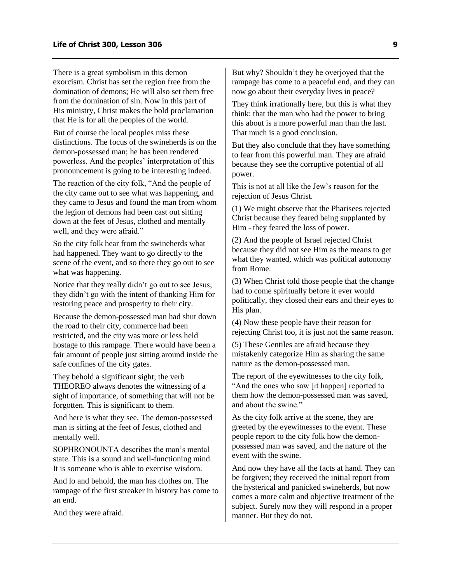There is a great symbolism in this demon exorcism. Christ has set the region free from the domination of demons; He will also set them free from the domination of sin. Now in this part of His ministry, Christ makes the bold proclamation that He is for all the peoples of the world.

But of course the local peoples miss these distinctions. The focus of the swineherds is on the demon-possessed man; he has been rendered powerless. And the peoples' interpretation of this pronouncement is going to be interesting indeed.

The reaction of the city folk, "And the people of the city came out to see what was happening, and they came to Jesus and found the man from whom the legion of demons had been cast out sitting down at the feet of Jesus, clothed and mentally well, and they were afraid."

So the city folk hear from the swineherds what had happened. They want to go directly to the scene of the event, and so there they go out to see what was happening.

Notice that they really didn't go out to see Jesus; they didn't go with the intent of thanking Him for restoring peace and prosperity to their city.

Because the demon-possessed man had shut down the road to their city, commerce had been restricted, and the city was more or less held hostage to this rampage. There would have been a fair amount of people just sitting around inside the safe confines of the city gates.

They behold a significant sight; the verb THEOREO always denotes the witnessing of a sight of importance, of something that will not be forgotten. This is significant to them.

And here is what they see. The demon-possessed man is sitting at the feet of Jesus, clothed and mentally well.

SOPHRONOUNTA describes the man's mental state. This is a sound and well-functioning mind. It is someone who is able to exercise wisdom.

And lo and behold, the man has clothes on. The rampage of the first streaker in history has come to an end.

And they were afraid.

But why? Shouldn't they be overjoyed that the rampage has come to a peaceful end, and they can now go about their everyday lives in peace?

They think irrationally here, but this is what they think: that the man who had the power to bring this about is a more powerful man than the last. That much is a good conclusion.

But they also conclude that they have something to fear from this powerful man. They are afraid because they see the corruptive potential of all power.

This is not at all like the Jew's reason for the rejection of Jesus Christ.

(1) We might observe that the Pharisees rejected Christ because they feared being supplanted by Him - they feared the loss of power.

(2) And the people of Israel rejected Christ because they did not see Him as the means to get what they wanted, which was political autonomy from Rome.

(3) When Christ told those people that the change had to come spiritually before it ever would politically, they closed their ears and their eyes to His plan.

(4) Now these people have their reason for rejecting Christ too, it is just not the same reason.

(5) These Gentiles are afraid because they mistakenly categorize Him as sharing the same nature as the demon-possessed man.

The report of the eyewitnesses to the city folk, "And the ones who saw [it happen] reported to them how the demon-possessed man was saved, and about the swine."

As the city folk arrive at the scene, they are greeted by the eyewitnesses to the event. These people report to the city folk how the demonpossessed man was saved, and the nature of the event with the swine.

And now they have all the facts at hand. They can be forgiven; they received the initial report from the hysterical and panicked swineherds, but now comes a more calm and objective treatment of the subject. Surely now they will respond in a proper manner. But they do not.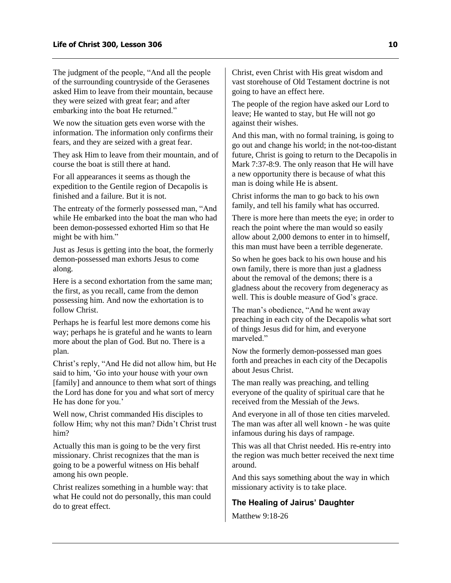The judgment of the people, "And all the people of the surrounding countryside of the Gerasenes asked Him to leave from their mountain, because they were seized with great fear; and after embarking into the boat He returned."

We now the situation gets even worse with the information. The information only confirms their fears, and they are seized with a great fear.

They ask Him to leave from their mountain, and of course the boat is still there at hand.

For all appearances it seems as though the expedition to the Gentile region of Decapolis is finished and a failure. But it is not.

The entreaty of the formerly possessed man, "And while He embarked into the boat the man who had been demon-possessed exhorted Him so that He might be with him."

Just as Jesus is getting into the boat, the formerly demon-possessed man exhorts Jesus to come along.

Here is a second exhortation from the same man; the first, as you recall, came from the demon possessing him. And now the exhortation is to follow Christ.

Perhaps he is fearful lest more demons come his way; perhaps he is grateful and he wants to learn more about the plan of God. But no. There is a plan.

Christ's reply, "And He did not allow him, but He said to him, 'Go into your house with your own [family] and announce to them what sort of things the Lord has done for you and what sort of mercy He has done for you.'

Well now, Christ commanded His disciples to follow Him; why not this man? Didn't Christ trust him?

Actually this man is going to be the very first missionary. Christ recognizes that the man is going to be a powerful witness on His behalf among his own people.

Christ realizes something in a humble way: that what He could not do personally, this man could do to great effect.

Christ, even Christ with His great wisdom and vast storehouse of Old Testament doctrine is not going to have an effect here.

The people of the region have asked our Lord to leave; He wanted to stay, but He will not go against their wishes.

And this man, with no formal training, is going to go out and change his world; in the not-too-distant future, Christ is going to return to the Decapolis in Mark 7:37-8:9. The only reason that He will have a new opportunity there is because of what this man is doing while He is absent.

Christ informs the man to go back to his own family, and tell his family what has occurred.

There is more here than meets the eye; in order to reach the point where the man would so easily allow about 2,000 demons to enter in to himself, this man must have been a terrible degenerate.

So when he goes back to his own house and his own family, there is more than just a gladness about the removal of the demons; there is a gladness about the recovery from degeneracy as well. This is double measure of God's grace.

The man's obedience, "And he went away preaching in each city of the Decapolis what sort of things Jesus did for him, and everyone marveled."

Now the formerly demon-possessed man goes forth and preaches in each city of the Decapolis about Jesus Christ.

The man really was preaching, and telling everyone of the quality of spiritual care that he received from the Messiah of the Jews.

And everyone in all of those ten cities marveled. The man was after all well known - he was quite infamous during his days of rampage.

This was all that Christ needed. His re-entry into the region was much better received the next time around.

And this says something about the way in which missionary activity is to take place.

### <span id="page-11-0"></span>**The Healing of Jairus' Daughter**

Matthew 9:18-26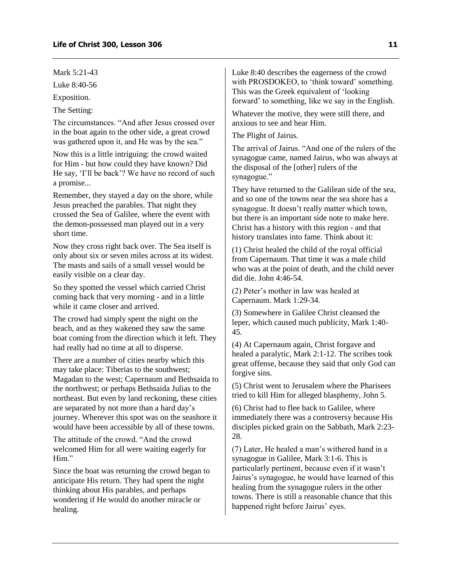Mark 5:21-43

Luke 8:40-56

Exposition.

The Setting:

The circumstances. "And after Jesus crossed over in the boat again to the other side, a great crowd was gathered upon it, and He was by the sea."

Now this is a little intriguing: the crowd waited for Him - but how could they have known? Did He say, 'I'll be back'? We have no record of such a promise...

Remember, they stayed a day on the shore, while Jesus preached the parables. That night they crossed the Sea of Galilee, where the event with the demon-possessed man played out in a very short time.

Now they cross right back over. The Sea itself is only about six or seven miles across at its widest. The masts and sails of a small vessel would be easily visible on a clear day.

So they spotted the vessel which carried Christ coming back that very morning - and in a little while it came closer and arrived.

The crowd had simply spent the night on the beach, and as they wakened they saw the same boat coming from the direction which it left. They had really had no time at all to disperse.

There are a number of cities nearby which this may take place: Tiberias to the southwest; Magadan to the west; Capernaum and Bethsaida to the northwest; or perhaps Bethsaida Julias to the northeast. But even by land reckoning, these cities are separated by not more than a hard day's journey. Wherever this spot was on the seashore it would have been accessible by all of these towns.

The attitude of the crowd. "And the crowd welcomed Him for all were waiting eagerly for Him."

Since the boat was returning the crowd began to anticipate His return. They had spent the night thinking about His parables, and perhaps wondering if He would do another miracle or healing.

Luke 8:40 describes the eagerness of the crowd with PROSDOKEO, to 'think toward' something. This was the Greek equivalent of 'looking forward' to something, like we say in the English.

Whatever the motive, they were still there, and anxious to see and hear Him.

The Plight of Jairus.

The arrival of Jairus. "And one of the rulers of the synagogue came, named Jairus, who was always at the disposal of the [other] rulers of the synagogue."

They have returned to the Galilean side of the sea, and so one of the towns near the sea shore has a synagogue. It doesn't really matter which town, but there is an important side note to make here. Christ has a history with this region - and that history translates into fame. Think about it:

(1) Christ healed the child of the royal official from Capernaum. That time it was a male child who was at the point of death, and the child never did die. John 4:46-54.

(2) Peter's mother in law was healed at Capernaum. Mark 1:29-34.

(3) Somewhere in Galilee Christ cleansed the leper, which caused much publicity, Mark 1:40- 45.

(4) At Capernaum again, Christ forgave and healed a paralytic, Mark 2:1-12. The scribes took great offense, because they said that only God can forgive sins.

(5) Christ went to Jerusalem where the Pharisees tried to kill Him for alleged blasphemy, John 5.

(6) Christ had to flee back to Galilee, where immediately there was a controversy because His disciples picked grain on the Sabbath, Mark 2:23- 28.

(7) Later, He healed a man's withered hand in a synagogue in Galilee, Mark 3:1-6. This is particularly pertinent, because even if it wasn't Jairus's synagogue, he would have learned of this healing from the synagogue rulers in the other towns. There is still a reasonable chance that this happened right before Jairus' eyes.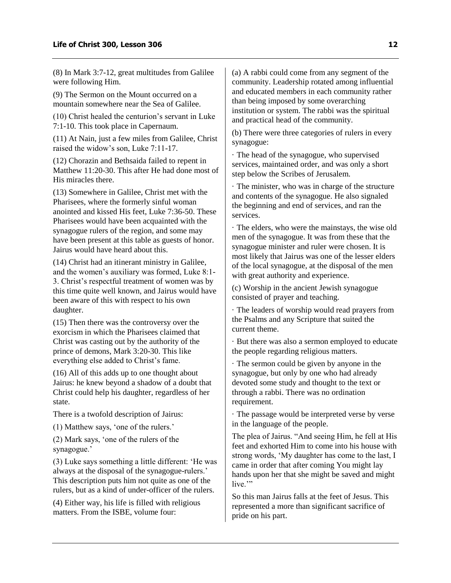(8) In Mark 3:7-12, great multitudes from Galilee were following Him.

(9) The Sermon on the Mount occurred on a mountain somewhere near the Sea of Galilee.

(10) Christ healed the centurion's servant in Luke 7:1-10. This took place in Capernaum.

(11) At Nain, just a few miles from Galilee, Christ raised the widow's son, Luke 7:11-17.

(12) Chorazin and Bethsaida failed to repent in Matthew 11:20-30. This after He had done most of His miracles there.

(13) Somewhere in Galilee, Christ met with the Pharisees, where the formerly sinful woman anointed and kissed His feet, Luke 7:36-50. These Pharisees would have been acquainted with the synagogue rulers of the region, and some may have been present at this table as guests of honor. Jairus would have heard about this.

(14) Christ had an itinerant ministry in Galilee, and the women's auxiliary was formed, Luke 8:1- 3. Christ's respectful treatment of women was by this time quite well known, and Jairus would have been aware of this with respect to his own daughter.

(15) Then there was the controversy over the exorcism in which the Pharisees claimed that Christ was casting out by the authority of the prince of demons, Mark 3:20-30. This like everything else added to Christ's fame.

(16) All of this adds up to one thought about Jairus: he knew beyond a shadow of a doubt that Christ could help his daughter, regardless of her state.

There is a twofold description of Jairus:

(1) Matthew says, 'one of the rulers.'

(2) Mark says, 'one of the rulers of the synagogue.'

(3) Luke says something a little different: 'He was always at the disposal of the synagogue-rulers.' This description puts him not quite as one of the rulers, but as a kind of under-officer of the rulers.

(4) Either way, his life is filled with religious matters. From the ISBE, volume four:

(a) A rabbi could come from any segment of the community. Leadership rotated among influential and educated members in each community rather than being imposed by some overarching institution or system. The rabbi was the spiritual and practical head of the community.

(b) There were three categories of rulers in every synagogue:

· The head of the synagogue, who supervised services, maintained order, and was only a short step below the Scribes of Jerusalem.

· The minister, who was in charge of the structure and contents of the synagogue. He also signaled the beginning and end of services, and ran the services.

· The elders, who were the mainstays, the wise old men of the synagogue. It was from these that the synagogue minister and ruler were chosen. It is most likely that Jairus was one of the lesser elders of the local synagogue, at the disposal of the men with great authority and experience.

(c) Worship in the ancient Jewish synagogue consisted of prayer and teaching.

· The leaders of worship would read prayers from the Psalms and any Scripture that suited the current theme.

· But there was also a sermon employed to educate the people regarding religious matters.

· The sermon could be given by anyone in the synagogue, but only by one who had already devoted some study and thought to the text or through a rabbi. There was no ordination requirement.

· The passage would be interpreted verse by verse in the language of the people.

The plea of Jairus. "And seeing Him, he fell at His feet and exhorted Him to come into his house with strong words, 'My daughter has come to the last, I came in order that after coming You might lay hands upon her that she might be saved and might live."

So this man Jairus falls at the feet of Jesus. This represented a more than significant sacrifice of pride on his part.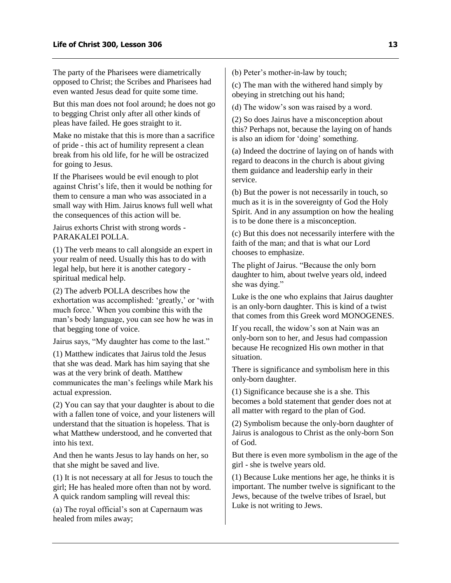The party of the Pharisees were diametrically opposed to Christ; the Scribes and Pharisees had even wanted Jesus dead for quite some time.

But this man does not fool around; he does not go to begging Christ only after all other kinds of pleas have failed. He goes straight to it.

Make no mistake that this is more than a sacrifice of pride - this act of humility represent a clean break from his old life, for he will be ostracized for going to Jesus.

If the Pharisees would be evil enough to plot against Christ's life, then it would be nothing for them to censure a man who was associated in a small way with Him. Jairus knows full well what the consequences of this action will be.

Jairus exhorts Christ with strong words - PARAKALEI POLLA.

(1) The verb means to call alongside an expert in your realm of need. Usually this has to do with legal help, but here it is another category spiritual medical help.

(2) The adverb POLLA describes how the exhortation was accomplished: 'greatly,' or 'with much force.' When you combine this with the man's body language, you can see how he was in that begging tone of voice.

Jairus says, "My daughter has come to the last."

(1) Matthew indicates that Jairus told the Jesus that she was dead. Mark has him saying that she was at the very brink of death. Matthew communicates the man's feelings while Mark his actual expression.

(2) You can say that your daughter is about to die with a fallen tone of voice, and your listeners will understand that the situation is hopeless. That is what Matthew understood, and he converted that into his text.

And then he wants Jesus to lay hands on her, so that she might be saved and live.

(1) It is not necessary at all for Jesus to touch the girl; He has healed more often than not by word. A quick random sampling will reveal this:

(a) The royal official's son at Capernaum was healed from miles away;

(b) Peter's mother-in-law by touch;

(c) The man with the withered hand simply by obeying in stretching out his hand;

(d) The widow's son was raised by a word.

(2) So does Jairus have a misconception about this? Perhaps not, because the laying on of hands is also an idiom for 'doing' something.

(a) Indeed the doctrine of laying on of hands with regard to deacons in the church is about giving them guidance and leadership early in their service.

(b) But the power is not necessarily in touch, so much as it is in the sovereignty of God the Holy Spirit. And in any assumption on how the healing is to be done there is a misconception.

(c) But this does not necessarily interfere with the faith of the man; and that is what our Lord chooses to emphasize.

The plight of Jairus. "Because the only born daughter to him, about twelve years old, indeed she was dying."

Luke is the one who explains that Jairus daughter is an only-born daughter. This is kind of a twist that comes from this Greek word MONOGENES.

If you recall, the widow's son at Nain was an only-born son to her, and Jesus had compassion because He recognized His own mother in that situation.

There is significance and symbolism here in this only-born daughter.

(1) Significance because she is a she. This becomes a bold statement that gender does not at all matter with regard to the plan of God.

(2) Symbolism because the only-born daughter of Jairus is analogous to Christ as the only-born Son of God.

But there is even more symbolism in the age of the girl - she is twelve years old.

(1) Because Luke mentions her age, he thinks it is important. The number twelve is significant to the Jews, because of the twelve tribes of Israel, but Luke is not writing to Jews.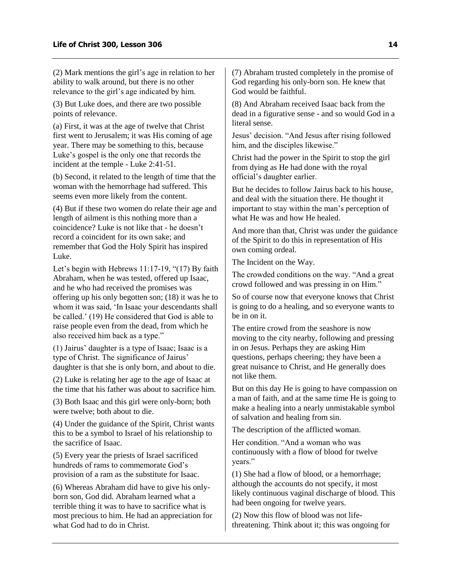(2) Mark mentions the girl's age in relation to her ability to walk around, but there is no other relevance to the girl's age indicated by him.

(3) But Luke does, and there are two possible points of relevance.

(a) First, it was at the age of twelve that Christ first went to Jerusalem; it was His coming of age year. There may be something to this, because Luke's gospel is the only one that records the incident at the temple - Luke 2:41-51.

(b) Second, it related to the length of time that the woman with the hemorrhage had suffered. This seems even more likely from the content.

(4) But if these two women do relate their age and length of ailment is this nothing more than a coincidence? Luke is not like that - he doesn't record a coincident for its own sake; and remember that God the Holy Spirit has inspired Luke.

Let's begin with Hebrews 11:17-19, "(17) By faith Abraham, when he was tested, offered up Isaac, and he who had received the promises was offering up his only begotten son; (18) it was he to whom it was said, 'In Isaac your descendants shall be called.' (19) He considered that God is able to raise people even from the dead, from which he also received him back as a type."

(1) Jairus' daughter is a type of Isaac; Isaac is a type of Christ. The significance of Jairus' daughter is that she is only born, and about to die.

(2) Luke is relating her age to the age of Isaac at the time that his father was about to sacrifice him.

(3) Both Isaac and this girl were only-born; both were twelve; both about to die.

(4) Under the guidance of the Spirit, Christ wants this to be a symbol to Israel of his relationship to the sacrifice of Isaac.

(5) Every year the priests of Israel sacrificed hundreds of rams to commemorate God's provision of a ram as the substitute for Isaac.

(6) Whereas Abraham did have to give his onlyborn son, God did. Abraham learned what a terrible thing it was to have to sacrifice what is most precious to him. He had an appreciation for what God had to do in Christ.

(7) Abraham trusted completely in the promise of God regarding his only-born son. He knew that God would be faithful.

(8) And Abraham received Isaac back from the dead in a figurative sense - and so would God in a literal sense.

Jesus' decision. "And Jesus after rising followed him, and the disciples likewise."

Christ had the power in the Spirit to stop the girl from dying as He had done with the royal official's daughter earlier.

But he decides to follow Jairus back to his house, and deal with the situation there. He thought it important to stay within the man's perception of what He was and how He healed.

And more than that, Christ was under the guidance of the Spirit to do this in representation of His own coming ordeal.

The Incident on the Way.

The crowded conditions on the way. "And a great crowd followed and was pressing in on Him."

So of course now that everyone knows that Christ is going to do a healing, and so everyone wants to be in on it.

The entire crowd from the seashore is now moving to the city nearby, following and pressing in on Jesus. Perhaps they are asking Him questions, perhaps cheering; they have been a great nuisance to Christ, and He generally does not like them.

But on this day He is going to have compassion on a man of faith, and at the same time He is going to make a healing into a nearly unmistakable symbol of salvation and healing from sin.

The description of the afflicted woman.

Her condition. "And a woman who was continuously with a flow of blood for twelve years."

(1) She had a flow of blood, or a hemorrhage; although the accounts do not specify, it most likely continuous vaginal discharge of blood. This had been ongoing for twelve years.

(2) Now this flow of blood was not lifethreatening. Think about it; this was ongoing for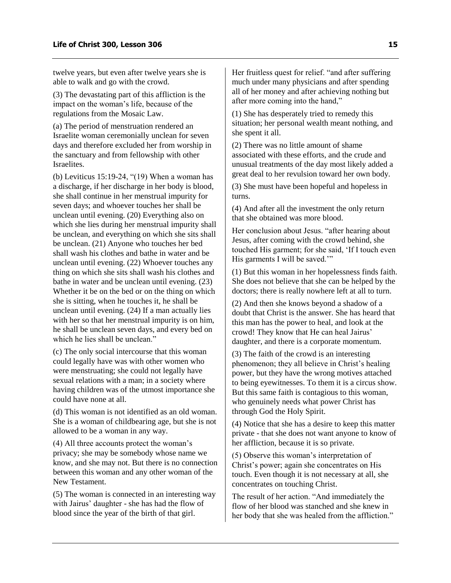twelve years, but even after twelve years she is able to walk and go with the crowd.

(3) The devastating part of this affliction is the impact on the woman's life, because of the regulations from the Mosaic Law.

(a) The period of menstruation rendered an Israelite woman ceremonially unclean for seven days and therefore excluded her from worship in the sanctuary and from fellowship with other **Israelites** 

(b) Leviticus  $15:19-24$ , " $(19)$  When a woman has a discharge, if her discharge in her body is blood, she shall continue in her menstrual impurity for seven days; and whoever touches her shall be unclean until evening. (20) Everything also on which she lies during her menstrual impurity shall be unclean, and everything on which she sits shall be unclean. (21) Anyone who touches her bed shall wash his clothes and bathe in water and be unclean until evening. (22) Whoever touches any thing on which she sits shall wash his clothes and bathe in water and be unclean until evening. (23) Whether it be on the bed or on the thing on which she is sitting, when he touches it, he shall be unclean until evening. (24) If a man actually lies with her so that her menstrual impurity is on him, he shall be unclean seven days, and every bed on which he lies shall be unclean."

(c) The only social intercourse that this woman could legally have was with other women who were menstruating; she could not legally have sexual relations with a man; in a society where having children was of the utmost importance she could have none at all.

(d) This woman is not identified as an old woman. She is a woman of childbearing age, but she is not allowed to be a woman in any way.

(4) All three accounts protect the woman's privacy; she may be somebody whose name we know, and she may not. But there is no connection between this woman and any other woman of the New Testament.

(5) The woman is connected in an interesting way with Jairus' daughter - she has had the flow of blood since the year of the birth of that girl.

Her fruitless quest for relief. "and after suffering much under many physicians and after spending all of her money and after achieving nothing but after more coming into the hand,"

(1) She has desperately tried to remedy this situation; her personal wealth meant nothing, and she spent it all.

(2) There was no little amount of shame associated with these efforts, and the crude and unusual treatments of the day most likely added a great deal to her revulsion toward her own body.

(3) She must have been hopeful and hopeless in turns.

(4) And after all the investment the only return that she obtained was more blood.

Her conclusion about Jesus. "after hearing about Jesus, after coming with the crowd behind, she touched His garment; for she said, 'If I touch even His garments I will be saved."

(1) But this woman in her hopelessness finds faith. She does not believe that she can be helped by the doctors; there is really nowhere left at all to turn.

(2) And then she knows beyond a shadow of a doubt that Christ is the answer. She has heard that this man has the power to heal, and look at the crowd! They know that He can heal Jairus' daughter, and there is a corporate momentum.

(3) The faith of the crowd is an interesting phenomenon; they all believe in Christ's healing power, but they have the wrong motives attached to being eyewitnesses. To them it is a circus show. But this same faith is contagious to this woman, who genuinely needs what power Christ has through God the Holy Spirit.

(4) Notice that she has a desire to keep this matter private - that she does not want anyone to know of her affliction, because it is so private.

(5) Observe this woman's interpretation of Christ's power; again she concentrates on His touch. Even though it is not necessary at all, she concentrates on touching Christ.

The result of her action. "And immediately the flow of her blood was stanched and she knew in her body that she was healed from the affliction."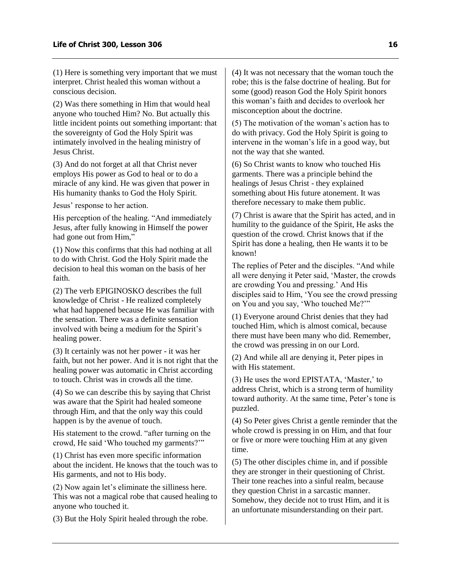(1) Here is something very important that we must interpret. Christ healed this woman without a conscious decision.

(2) Was there something in Him that would heal anyone who touched Him? No. But actually this little incident points out something important: that the sovereignty of God the Holy Spirit was intimately involved in the healing ministry of Jesus Christ.

(3) And do not forget at all that Christ never employs His power as God to heal or to do a miracle of any kind. He was given that power in His humanity thanks to God the Holy Spirit.

Jesus' response to her action.

His perception of the healing. "And immediately Jesus, after fully knowing in Himself the power had gone out from Him,"

(1) Now this confirms that this had nothing at all to do with Christ. God the Holy Spirit made the decision to heal this woman on the basis of her faith.

(2) The verb EPIGINOSKO describes the full knowledge of Christ - He realized completely what had happened because He was familiar with the sensation. There was a definite sensation involved with being a medium for the Spirit's healing power.

(3) It certainly was not her power - it was her faith, but not her power. And it is not right that the healing power was automatic in Christ according to touch. Christ was in crowds all the time.

(4) So we can describe this by saying that Christ was aware that the Spirit had healed someone through Him, and that the only way this could happen is by the avenue of touch.

His statement to the crowd. "after turning on the crowd, He said 'Who touched my garments?'"

(1) Christ has even more specific information about the incident. He knows that the touch was to His garments, and not to His body.

(2) Now again let's eliminate the silliness here. This was not a magical robe that caused healing to anyone who touched it.

(3) But the Holy Spirit healed through the robe.

(4) It was not necessary that the woman touch the robe; this is the false doctrine of healing. But for some (good) reason God the Holy Spirit honors this woman's faith and decides to overlook her misconception about the doctrine.

(5) The motivation of the woman's action has to do with privacy. God the Holy Spirit is going to intervene in the woman's life in a good way, but not the way that she wanted.

(6) So Christ wants to know who touched His garments. There was a principle behind the healings of Jesus Christ - they explained something about His future atonement. It was therefore necessary to make them public.

(7) Christ is aware that the Spirit has acted, and in humility to the guidance of the Spirit, He asks the question of the crowd. Christ knows that if the Spirit has done a healing, then He wants it to be known!

The replies of Peter and the disciples. "And while all were denying it Peter said, 'Master, the crowds are crowding You and pressing.' And His disciples said to Him, 'You see the crowd pressing on You and you say, 'Who touched Me?'"

(1) Everyone around Christ denies that they had touched Him, which is almost comical, because there must have been many who did. Remember, the crowd was pressing in on our Lord.

(2) And while all are denying it, Peter pipes in with His statement.

(3) He uses the word EPISTATA, 'Master,' to address Christ, which is a strong term of humility toward authority. At the same time, Peter's tone is puzzled.

(4) So Peter gives Christ a gentle reminder that the whole crowd is pressing in on Him, and that four or five or more were touching Him at any given time.

(5) The other disciples chime in, and if possible they are stronger in their questioning of Christ. Their tone reaches into a sinful realm, because they question Christ in a sarcastic manner. Somehow, they decide not to trust Him, and it is an unfortunate misunderstanding on their part.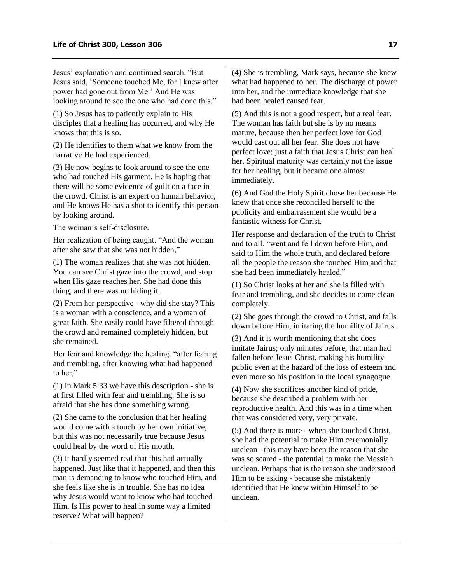Jesus' explanation and continued search. "But Jesus said, 'Someone touched Me, for I knew after power had gone out from Me.' And He was looking around to see the one who had done this."

(1) So Jesus has to patiently explain to His disciples that a healing has occurred, and why He knows that this is so.

(2) He identifies to them what we know from the narrative He had experienced.

(3) He now begins to look around to see the one who had touched His garment. He is hoping that there will be some evidence of guilt on a face in the crowd. Christ is an expert on human behavior, and He knows He has a shot to identify this person by looking around.

The woman's self-disclosure.

Her realization of being caught. "And the woman after she saw that she was not hidden,"

(1) The woman realizes that she was not hidden. You can see Christ gaze into the crowd, and stop when His gaze reaches her. She had done this thing, and there was no hiding it.

(2) From her perspective - why did she stay? This is a woman with a conscience, and a woman of great faith. She easily could have filtered through the crowd and remained completely hidden, but she remained.

Her fear and knowledge the healing. "after fearing and trembling, after knowing what had happened to her,"

(1) In Mark 5:33 we have this description - she is at first filled with fear and trembling. She is so afraid that she has done something wrong.

(2) She came to the conclusion that her healing would come with a touch by her own initiative, but this was not necessarily true because Jesus could heal by the word of His mouth.

(3) It hardly seemed real that this had actually happened. Just like that it happened, and then this man is demanding to know who touched Him, and she feels like she is in trouble. She has no idea why Jesus would want to know who had touched Him. Is His power to heal in some way a limited reserve? What will happen?

(4) She is trembling, Mark says, because she knew what had happened to her. The discharge of power into her, and the immediate knowledge that she had been healed caused fear.

(5) And this is not a good respect, but a real fear. The woman has faith but she is by no means mature, because then her perfect love for God would cast out all her fear. She does not have perfect love; just a faith that Jesus Christ can heal her. Spiritual maturity was certainly not the issue for her healing, but it became one almost immediately.

(6) And God the Holy Spirit chose her because He knew that once she reconciled herself to the publicity and embarrassment she would be a fantastic witness for Christ.

Her response and declaration of the truth to Christ and to all. "went and fell down before Him, and said to Him the whole truth, and declared before all the people the reason she touched Him and that she had been immediately healed."

(1) So Christ looks at her and she is filled with fear and trembling, and she decides to come clean completely.

(2) She goes through the crowd to Christ, and falls down before Him, imitating the humility of Jairus.

(3) And it is worth mentioning that she does imitate Jairus; only minutes before, that man had fallen before Jesus Christ, making his humility public even at the hazard of the loss of esteem and even more so his position in the local synagogue.

(4) Now she sacrifices another kind of pride, because she described a problem with her reproductive health. And this was in a time when that was considered very, very private.

(5) And there is more - when she touched Christ, she had the potential to make Him ceremonially unclean - this may have been the reason that she was so scared - the potential to make the Messiah unclean. Perhaps that is the reason she understood Him to be asking - because she mistakenly identified that He knew within Himself to be unclean.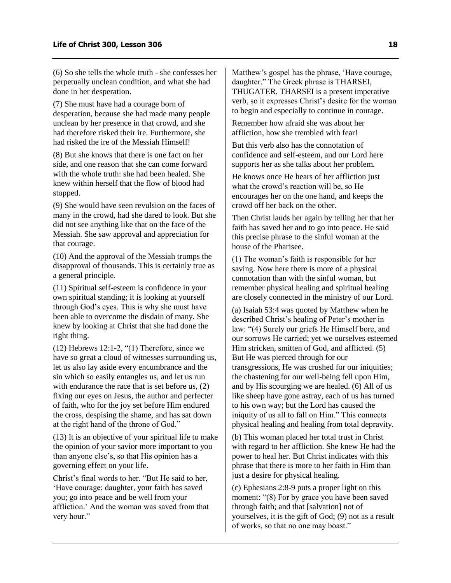(6) So she tells the whole truth - she confesses her perpetually unclean condition, and what she had done in her desperation.

(7) She must have had a courage born of desperation, because she had made many people unclean by her presence in that crowd, and she had therefore risked their ire. Furthermore, she had risked the ire of the Messiah Himself!

(8) But she knows that there is one fact on her side, and one reason that she can come forward with the whole truth: she had been healed. She knew within herself that the flow of blood had stopped.

(9) She would have seen revulsion on the faces of many in the crowd, had she dared to look. But she did not see anything like that on the face of the Messiah. She saw approval and appreciation for that courage.

(10) And the approval of the Messiah trumps the disapproval of thousands. This is certainly true as a general principle.

(11) Spiritual self-esteem is confidence in your own spiritual standing; it is looking at yourself through God's eyes. This is why she must have been able to overcome the disdain of many. She knew by looking at Christ that she had done the right thing.

 $(12)$  Hebrews 12:1-2, " $(1)$  Therefore, since we have so great a cloud of witnesses surrounding us, let us also lay aside every encumbrance and the sin which so easily entangles us, and let us run with endurance the race that is set before us,  $(2)$ fixing our eyes on Jesus, the author and perfecter of faith, who for the joy set before Him endured the cross, despising the shame, and has sat down at the right hand of the throne of God."

(13) It is an objective of your spiritual life to make the opinion of your savior more important to you than anyone else's, so that His opinion has a governing effect on your life.

Christ's final words to her. "But He said to her, 'Have courage; daughter, your faith has saved you; go into peace and be well from your affliction.' And the woman was saved from that very hour."

Matthew's gospel has the phrase, 'Have courage, daughter." The Greek phrase is THARSEI, THUGATER. THARSEI is a present imperative verb, so it expresses Christ's desire for the woman to begin and especially to continue in courage.

Remember how afraid she was about her affliction, how she trembled with fear!

But this verb also has the connotation of confidence and self-esteem, and our Lord here supports her as she talks about her problem.

He knows once He hears of her affliction just what the crowd's reaction will be, so He encourages her on the one hand, and keeps the crowd off her back on the other.

Then Christ lauds her again by telling her that her faith has saved her and to go into peace. He said this precise phrase to the sinful woman at the house of the Pharisee.

(1) The woman's faith is responsible for her saving. Now here there is more of a physical connotation than with the sinful woman, but remember physical healing and spiritual healing are closely connected in the ministry of our Lord.

(a) Isaiah 53:4 was quoted by Matthew when he described Christ's healing of Peter's mother in law: "(4) Surely our griefs He Himself bore, and our sorrows He carried; yet we ourselves esteemed Him stricken, smitten of God, and afflicted. (5) But He was pierced through for our transgressions, He was crushed for our iniquities; the chastening for our well-being fell upon Him, and by His scourging we are healed. (6) All of us like sheep have gone astray, each of us has turned to his own way; but the Lord has caused the iniquity of us all to fall on Him." This connects physical healing and healing from total depravity.

(b) This woman placed her total trust in Christ with regard to her affliction. She knew He had the power to heal her. But Christ indicates with this phrase that there is more to her faith in Him than just a desire for physical healing.

(c) Ephesians 2:8-9 puts a proper light on this moment: "(8) For by grace you have been saved through faith; and that [salvation] not of yourselves, it is the gift of God; (9) not as a result of works, so that no one may boast."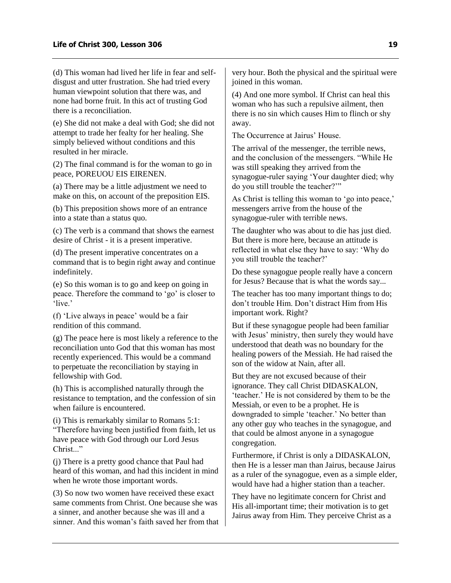(d) This woman had lived her life in fear and selfdisgust and utter frustration. She had tried every human viewpoint solution that there was, and none had borne fruit. In this act of trusting God there is a reconciliation.

(e) She did not make a deal with God; she did not attempt to trade her fealty for her healing. She simply believed without conditions and this resulted in her miracle.

(2) The final command is for the woman to go in peace, POREUOU EIS EIRENEN.

(a) There may be a little adjustment we need to make on this, on account of the preposition EIS.

(b) This preposition shows more of an entrance into a state than a status quo.

(c) The verb is a command that shows the earnest desire of Christ - it is a present imperative.

(d) The present imperative concentrates on a command that is to begin right away and continue indefinitely.

(e) So this woman is to go and keep on going in peace. Therefore the command to 'go' is closer to 'live.'

(f) 'Live always in peace' would be a fair rendition of this command.

(g) The peace here is most likely a reference to the reconciliation unto God that this woman has most recently experienced. This would be a command to perpetuate the reconciliation by staying in fellowship with God.

(h) This is accomplished naturally through the resistance to temptation, and the confession of sin when failure is encountered.

(i) This is remarkably similar to Romans 5:1: "Therefore having been justified from faith, let us have peace with God through our Lord Jesus Christ..."

(j) There is a pretty good chance that Paul had heard of this woman, and had this incident in mind when he wrote those important words.

(3) So now two women have received these exact same comments from Christ. One because she was a sinner, and another because she was ill and a sinner. And this woman's faith saved her from that

very hour. Both the physical and the spiritual were joined in this woman.

(4) And one more symbol. If Christ can heal this woman who has such a repulsive ailment, then there is no sin which causes Him to flinch or shy away.

The Occurrence at Jairus' House.

The arrival of the messenger, the terrible news, and the conclusion of the messengers. "While He was still speaking they arrived from the synagogue-ruler saying 'Your daughter died; why do you still trouble the teacher?'"

As Christ is telling this woman to 'go into peace,' messengers arrive from the house of the synagogue-ruler with terrible news.

The daughter who was about to die has just died. But there is more here, because an attitude is reflected in what else they have to say: 'Why do you still trouble the teacher?'

Do these synagogue people really have a concern for Jesus? Because that is what the words say...

The teacher has too many important things to do; don't trouble Him. Don't distract Him from His important work. Right?

But if these synagogue people had been familiar with Jesus' ministry, then surely they would have understood that death was no boundary for the healing powers of the Messiah. He had raised the son of the widow at Nain, after all.

But they are not excused because of their ignorance. They call Christ DIDASKALON, 'teacher.' He is not considered by them to be the Messiah, or even to be a prophet. He is downgraded to simple 'teacher.' No better than any other guy who teaches in the synagogue, and that could be almost anyone in a synagogue congregation.

Furthermore, if Christ is only a DIDASKALON, then He is a lesser man than Jairus, because Jairus as a ruler of the synagogue, even as a simple elder, would have had a higher station than a teacher.

They have no legitimate concern for Christ and His all-important time; their motivation is to get Jairus away from Him. They perceive Christ as a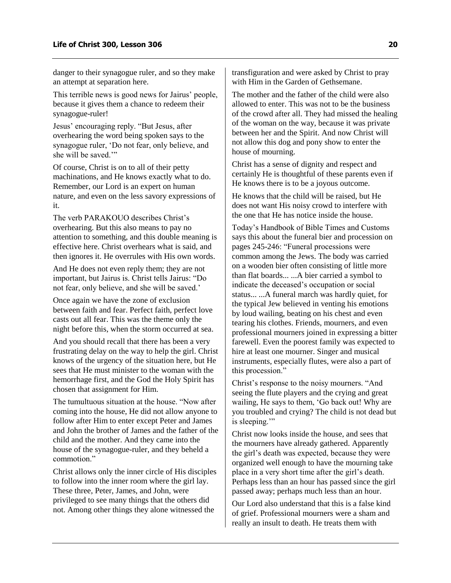danger to their synagogue ruler, and so they make an attempt at separation here.

This terrible news is good news for Jairus' people, because it gives them a chance to redeem their synagogue-ruler!

Jesus' encouraging reply. "But Jesus, after overhearing the word being spoken says to the synagogue ruler, 'Do not fear, only believe, and she will be saved.'"

Of course, Christ is on to all of their petty machinations, and He knows exactly what to do. Remember, our Lord is an expert on human nature, and even on the less savory expressions of it.

The verb PARAKOUO describes Christ's overhearing. But this also means to pay no attention to something, and this double meaning is effective here. Christ overhears what is said, and then ignores it. He overrules with His own words.

And He does not even reply them; they are not important, but Jairus is. Christ tells Jairus: "Do not fear, only believe, and she will be saved.'

Once again we have the zone of exclusion between faith and fear. Perfect faith, perfect love casts out all fear. This was the theme only the night before this, when the storm occurred at sea.

And you should recall that there has been a very frustrating delay on the way to help the girl. Christ knows of the urgency of the situation here, but He sees that He must minister to the woman with the hemorrhage first, and the God the Holy Spirit has chosen that assignment for Him.

The tumultuous situation at the house. "Now after coming into the house, He did not allow anyone to follow after Him to enter except Peter and James and John the brother of James and the father of the child and the mother. And they came into the house of the synagogue-ruler, and they beheld a commotion"

Christ allows only the inner circle of His disciples to follow into the inner room where the girl lay. These three, Peter, James, and John, were privileged to see many things that the others did not. Among other things they alone witnessed the

transfiguration and were asked by Christ to pray with Him in the Garden of Gethsemane.

The mother and the father of the child were also allowed to enter. This was not to be the business of the crowd after all. They had missed the healing of the woman on the way, because it was private between her and the Spirit. And now Christ will not allow this dog and pony show to enter the house of mourning.

Christ has a sense of dignity and respect and certainly He is thoughtful of these parents even if He knows there is to be a joyous outcome.

He knows that the child will be raised, but He does not want His noisy crowd to interfere with the one that He has notice inside the house.

Today's Handbook of Bible Times and Customs says this about the funeral bier and procession on pages 245-246: "Funeral processions were common among the Jews. The body was carried on a wooden bier often consisting of little more than flat boards... ...A bier carried a symbol to indicate the deceased's occupation or social status... ...A funeral march was hardly quiet, for the typical Jew believed in venting his emotions by loud wailing, beating on his chest and even tearing his clothes. Friends, mourners, and even professional mourners joined in expressing a bitter farewell. Even the poorest family was expected to hire at least one mourner. Singer and musical instruments, especially flutes, were also a part of this procession."

Christ's response to the noisy mourners. "And seeing the flute players and the crying and great wailing, He says to them, 'Go back out! Why are you troubled and crying? The child is not dead but is sleeping."

Christ now looks inside the house, and sees that the mourners have already gathered. Apparently the girl's death was expected, because they were organized well enough to have the mourning take place in a very short time after the girl's death. Perhaps less than an hour has passed since the girl passed away; perhaps much less than an hour.

Our Lord also understand that this is a false kind of grief. Professional mourners were a sham and really an insult to death. He treats them with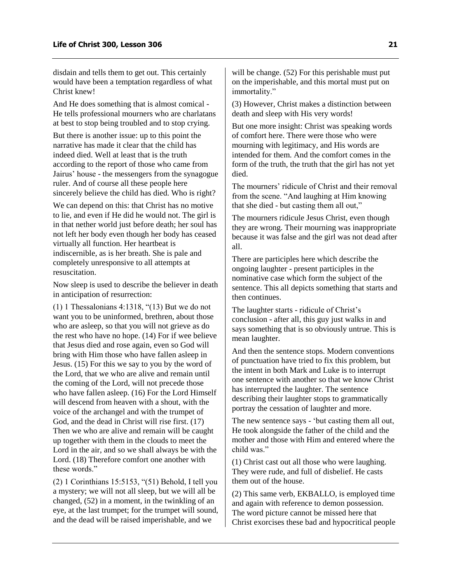disdain and tells them to get out. This certainly would have been a temptation regardless of what Christ knew!

And He does something that is almost comical - He tells professional mourners who are charlatans at best to stop being troubled and to stop crying.

But there is another issue: up to this point the narrative has made it clear that the child has indeed died. Well at least that is the truth according to the report of those who came from Jairus' house - the messengers from the synagogue ruler. And of course all these people here sincerely believe the child has died. Who is right?

We can depend on this: that Christ has no motive to lie, and even if He did he would not. The girl is in that nether world just before death; her soul has not left her body even though her body has ceased virtually all function. Her heartbeat is indiscernible, as is her breath. She is pale and completely unresponsive to all attempts at resuscitation.

Now sleep is used to describe the believer in death in anticipation of resurrection:

(1) 1 Thessalonians 4:1318, "(13) But we do not want you to be uninformed, brethren, about those who are asleep, so that you will not grieve as do the rest who have no hope. (14) For if wee believe that Jesus died and rose again, even so God will bring with Him those who have fallen asleep in Jesus. (15) For this we say to you by the word of the Lord, that we who are alive and remain until the coming of the Lord, will not precede those who have fallen asleep. (16) For the Lord Himself will descend from heaven with a shout, with the voice of the archangel and with the trumpet of God, and the dead in Christ will rise first. (17) Then we who are alive and remain will be caught up together with them in the clouds to meet the Lord in the air, and so we shall always be with the Lord. (18) Therefore comfort one another with these words."

(2) 1 Corinthians 15:5153, "(51) Behold, I tell you a mystery; we will not all sleep, but we will all be changed, (52) in a moment, in the twinkling of an eye, at the last trumpet; for the trumpet will sound, and the dead will be raised imperishable, and we

will be change. (52) For this perishable must put on the imperishable, and this mortal must put on immortality."

(3) However, Christ makes a distinction between death and sleep with His very words!

But one more insight: Christ was speaking words of comfort here. There were those who were mourning with legitimacy, and His words are intended for them. And the comfort comes in the form of the truth, the truth that the girl has not yet died.

The mourners' ridicule of Christ and their removal from the scene. "And laughing at Him knowing that she died - but casting them all out,"

The mourners ridicule Jesus Christ, even though they are wrong. Their mourning was inappropriate because it was false and the girl was not dead after all.

There are participles here which describe the ongoing laughter - present participles in the nominative case which form the subject of the sentence. This all depicts something that starts and then continues.

The laughter starts - ridicule of Christ's conclusion - after all, this guy just walks in and says something that is so obviously untrue. This is mean laughter.

And then the sentence stops. Modern conventions of punctuation have tried to fix this problem, but the intent in both Mark and Luke is to interrupt one sentence with another so that we know Christ has interrupted the laughter. The sentence describing their laughter stops to grammatically portray the cessation of laughter and more.

The new sentence says - 'but casting them all out, He took alongside the father of the child and the mother and those with Him and entered where the child was."

(1) Christ cast out all those who were laughing. They were rude, and full of disbelief. He casts them out of the house.

(2) This same verb, EKBALLO, is employed time and again with reference to demon possession. The word picture cannot be missed here that Christ exorcises these bad and hypocritical people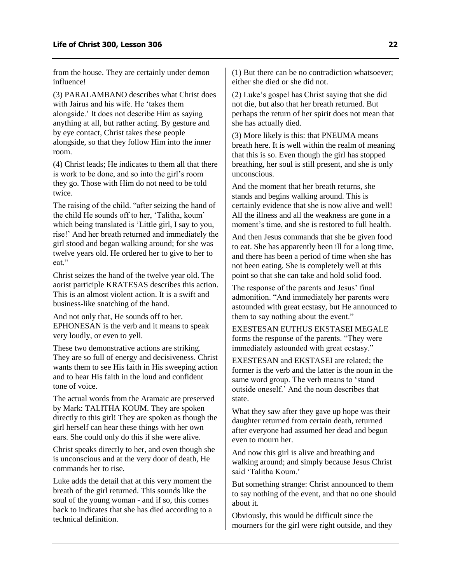from the house. They are certainly under demon influence!

(3) PARALAMBANO describes what Christ does with Jairus and his wife. He 'takes them alongside.' It does not describe Him as saying anything at all, but rather acting. By gesture and by eye contact, Christ takes these people alongside, so that they follow Him into the inner room.

(4) Christ leads; He indicates to them all that there is work to be done, and so into the girl's room they go. Those with Him do not need to be told twice.

The raising of the child. "after seizing the hand of the child He sounds off to her, 'Talitha, koum' which being translated is 'Little girl, I say to you, rise!' And her breath returned and immediately the girl stood and began walking around; for she was twelve years old. He ordered her to give to her to eat."

Christ seizes the hand of the twelve year old. The aorist participle KRATESAS describes this action. This is an almost violent action. It is a swift and business-like snatching of the hand.

And not only that, He sounds off to her. EPHONESAN is the verb and it means to speak very loudly, or even to yell.

These two demonstrative actions are striking. They are so full of energy and decisiveness. Christ wants them to see His faith in His sweeping action and to hear His faith in the loud and confident tone of voice.

The actual words from the Aramaic are preserved by Mark: TALITHA KOUM. They are spoken directly to this girl! They are spoken as though the girl herself can hear these things with her own ears. She could only do this if she were alive.

Christ speaks directly to her, and even though she is unconscious and at the very door of death, He commands her to rise.

Luke adds the detail that at this very moment the breath of the girl returned. This sounds like the soul of the young woman - and if so, this comes back to indicates that she has died according to a technical definition.

(1) But there can be no contradiction whatsoever; either she died or she did not.

(2) Luke's gospel has Christ saying that she did not die, but also that her breath returned. But perhaps the return of her spirit does not mean that she has actually died.

(3) More likely is this: that PNEUMA means breath here. It is well within the realm of meaning that this is so. Even though the girl has stopped breathing, her soul is still present, and she is only unconscious.

And the moment that her breath returns, she stands and begins walking around. This is certainly evidence that she is now alive and well! All the illness and all the weakness are gone in a moment's time, and she is restored to full health.

And then Jesus commands that she be given food to eat. She has apparently been ill for a long time, and there has been a period of time when she has not been eating. She is completely well at this point so that she can take and hold solid food.

The response of the parents and Jesus' final admonition. "And immediately her parents were astounded with great ecstasy, but He announced to them to say nothing about the event."

EXESTESAN EUTHUS EKSTASEI MEGALE forms the response of the parents. "They were immediately astounded with great ecstasy."

EXESTESAN and EKSTASEI are related; the former is the verb and the latter is the noun in the same word group. The verb means to 'stand outside oneself.' And the noun describes that state.

What they saw after they gave up hope was their daughter returned from certain death, returned after everyone had assumed her dead and begun even to mourn her.

And now this girl is alive and breathing and walking around; and simply because Jesus Christ said 'Talitha Koum.'

But something strange: Christ announced to them to say nothing of the event, and that no one should about it.

Obviously, this would be difficult since the mourners for the girl were right outside, and they